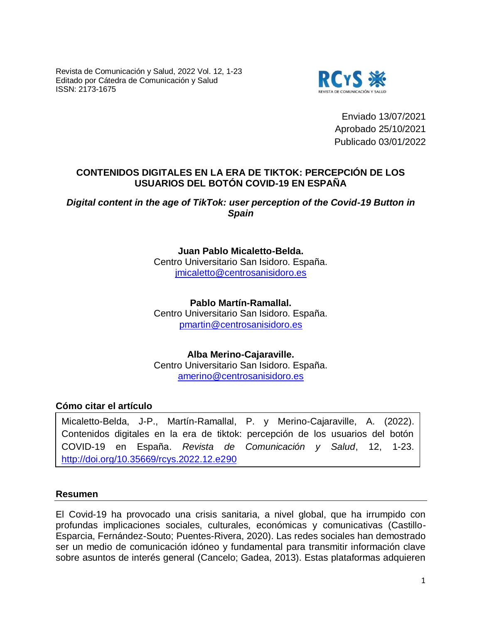Revista de Comunicación y Salud, 2022 Vol. 12, 1-23 Editado por Cátedra de Comunicación y Salud ISSN: 2173-1675



Enviado 13/07/2021 Aprobado 25/10/2021 Publicado 03/01/2022

# **CONTENIDOS DIGITALES EN LA ERA DE TIKTOK: PERCEPCIÓN DE LOS USUARIOS DEL BOTÓN COVID-19 EN ESPAÑA**

## *Digital content in the age of TikTok: user perception of the Covid-19 Button in Spain*

**Juan Pablo Micaletto-Belda.** Centro Universitario San Isidoro. España. [jmicaletto@centrosanisidoro.es](mailto:jmicaletto@centrosanisidoro.es)

**Pablo Martín-Ramallal.** Centro Universitario San Isidoro. España. [pmartin@centrosanisidoro.es](mailto:pmartin@centrosanisidoro.es)

**Alba Merino-Cajaraville.** Centro Universitario San Isidoro. España. [amerino@centrosanisidoro.es](mailto:amerino@centrosanisidoro.es)

## **Cómo citar el artículo**

Micaletto-Belda, J-P., Martín-Ramallal, P. y Merino-Cajaraville, A. (2022). Contenidos digitales en la era de tiktok: percepción de los usuarios del botón COVID-19 en España. *Revista de Comunicación y Salud*, 12, 1-23. <http://doi.org/10.35669/rcys.2022.12.e290>

#### **Resumen**

El Covid-19 ha provocado una crisis sanitaria, a nivel global, que ha irrumpido con profundas implicaciones sociales, culturales, económicas y comunicativas (Castillo-Esparcia, Fernández-Souto; Puentes-Rivera, 2020). Las redes sociales han demostrado ser un medio de comunicación idóneo y fundamental para transmitir información clave sobre asuntos de interés general (Cancelo; Gadea, 2013). Estas plataformas adquieren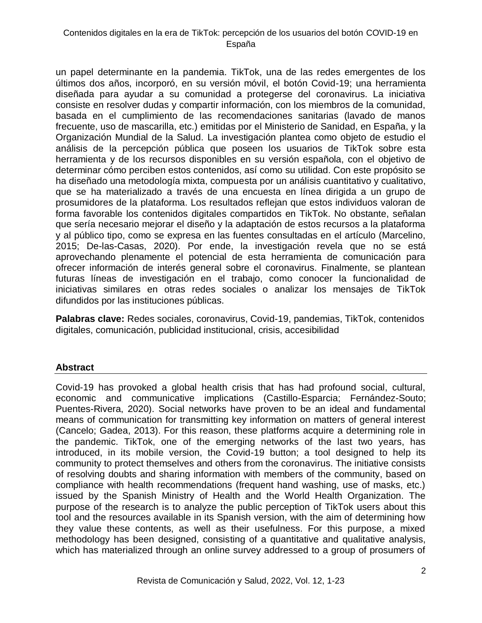un papel determinante en la pandemia. TikTok, una de las redes emergentes de los últimos dos años, incorporó, en su versión móvil, el botón Covid-19; una herramienta diseñada para ayudar a su comunidad a protegerse del coronavirus. La iniciativa consiste en resolver dudas y compartir información, con los miembros de la comunidad, basada en el cumplimiento de las recomendaciones sanitarias (lavado de manos frecuente, uso de mascarilla, etc.) emitidas por el Ministerio de Sanidad, en España, y la Organización Mundial de la Salud. La investigación plantea como objeto de estudio el análisis de la percepción pública que poseen los usuarios de TikTok sobre esta herramienta y de los recursos disponibles en su versión española, con el objetivo de determinar cómo perciben estos contenidos, así como su utilidad. Con este propósito se ha diseñado una metodología mixta, compuesta por un análisis cuantitativo y cualitativo, que se ha materializado a través de una encuesta en línea dirigida a un grupo de prosumidores de la plataforma. Los resultados reflejan que estos individuos valoran de forma favorable los contenidos digitales compartidos en TikTok. No obstante, señalan que sería necesario mejorar el diseño y la adaptación de estos recursos a la plataforma y al público tipo, como se expresa en las fuentes consultadas en el artículo (Marcelino, 2015; De-las-Casas, 2020). Por ende, la investigación revela que no se está aprovechando plenamente el potencial de esta herramienta de comunicación para ofrecer información de interés general sobre el coronavirus. Finalmente, se plantean futuras líneas de investigación en el trabajo, como conocer la funcionalidad de iniciativas similares en otras redes sociales o analizar los mensajes de TikTok difundidos por las instituciones públicas.

**Palabras clave:** Redes sociales, coronavirus, Covid-19, pandemias, TikTok, contenidos digitales, comunicación, publicidad institucional, crisis, accesibilidad

## **Abstract**

Covid-19 has provoked a global health crisis that has had profound social, cultural, economic and communicative implications (Castillo-Esparcia; Fernández-Souto; Puentes-Rivera, 2020). Social networks have proven to be an ideal and fundamental means of communication for transmitting key information on matters of general interest (Cancelo; Gadea, 2013). For this reason, these platforms acquire a determining role in the pandemic. TikTok, one of the emerging networks of the last two years, has introduced, in its mobile version, the Covid-19 button; a tool designed to help its community to protect themselves and others from the coronavirus. The initiative consists of resolving doubts and sharing information with members of the community, based on compliance with health recommendations (frequent hand washing, use of masks, etc.) issued by the Spanish Ministry of Health and the World Health Organization. The purpose of the research is to analyze the public perception of TikTok users about this tool and the resources available in its Spanish version, with the aim of determining how they value these contents, as well as their usefulness. For this purpose, a mixed methodology has been designed, consisting of a quantitative and qualitative analysis, which has materialized through an online survey addressed to a group of prosumers of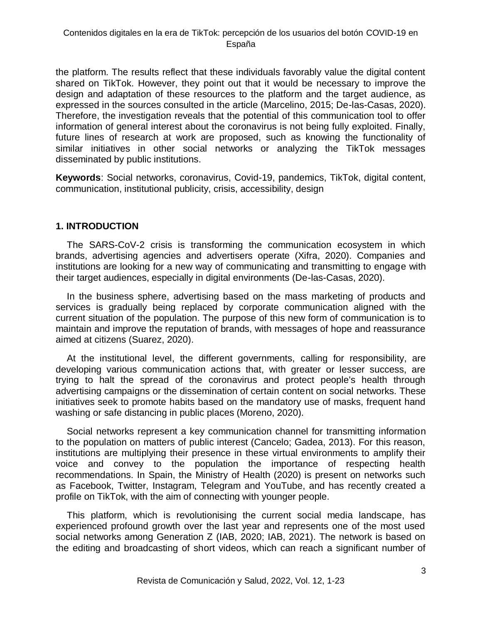the platform. The results reflect that these individuals favorably value the digital content shared on TikTok. However, they point out that it would be necessary to improve the design and adaptation of these resources to the platform and the target audience, as expressed in the sources consulted in the article (Marcelino, 2015; De-las-Casas, 2020). Therefore, the investigation reveals that the potential of this communication tool to offer information of general interest about the coronavirus is not being fully exploited. Finally, future lines of research at work are proposed, such as knowing the functionality of similar initiatives in other social networks or analyzing the TikTok messages disseminated by public institutions.

**Keywords**: Social networks, coronavirus, Covid-19, pandemics, TikTok, digital content, communication, institutional publicity, crisis, accessibility, design

# **1. INTRODUCTION**

The SARS-CoV-2 crisis is transforming the communication ecosystem in which brands, advertising agencies and advertisers operate (Xifra, 2020). Companies and institutions are looking for a new way of communicating and transmitting to engage with their target audiences, especially in digital environments (De-las-Casas, 2020).

In the business sphere, advertising based on the mass marketing of products and services is gradually being replaced by corporate communication aligned with the current situation of the population. The purpose of this new form of communication is to maintain and improve the reputation of brands, with messages of hope and reassurance aimed at citizens (Suarez, 2020).

At the institutional level, the different governments, calling for responsibility, are developing various communication actions that, with greater or lesser success, are trying to halt the spread of the coronavirus and protect people's health through advertising campaigns or the dissemination of certain content on social networks. These initiatives seek to promote habits based on the mandatory use of masks, frequent hand washing or safe distancing in public places (Moreno, 2020).

Social networks represent a key communication channel for transmitting information to the population on matters of public interest (Cancelo; Gadea, 2013). For this reason, institutions are multiplying their presence in these virtual environments to amplify their voice and convey to the population the importance of respecting health recommendations. In Spain, the Ministry of Health (2020) is present on networks such as Facebook, Twitter, Instagram, Telegram and YouTube, and has recently created a profile on TikTok, with the aim of connecting with younger people.

This platform, which is revolutionising the current social media landscape, has experienced profound growth over the last year and represents one of the most used social networks among Generation Z (IAB, 2020; IAB, 2021). The network is based on the editing and broadcasting of short videos, which can reach a significant number of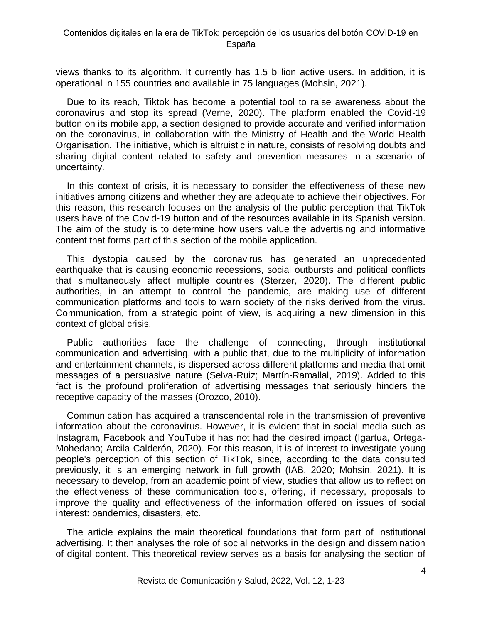views thanks to its algorithm. It currently has 1.5 billion active users. In addition, it is operational in 155 countries and available in 75 languages (Mohsin, 2021).

Due to its reach, Tiktok has become a potential tool to raise awareness about the coronavirus and stop its spread (Verne, 2020). The platform enabled the Covid-19 button on its mobile app, a section designed to provide accurate and verified information on the coronavirus, in collaboration with the Ministry of Health and the World Health Organisation. The initiative, which is altruistic in nature, consists of resolving doubts and sharing digital content related to safety and prevention measures in a scenario of uncertainty.

In this context of crisis, it is necessary to consider the effectiveness of these new initiatives among citizens and whether they are adequate to achieve their objectives. For this reason, this research focuses on the analysis of the public perception that TikTok users have of the Covid-19 button and of the resources available in its Spanish version. The aim of the study is to determine how users value the advertising and informative content that forms part of this section of the mobile application.

This dystopia caused by the coronavirus has generated an unprecedented earthquake that is causing economic recessions, social outbursts and political conflicts that simultaneously affect multiple countries (Sterzer, 2020). The different public authorities, in an attempt to control the pandemic, are making use of different communication platforms and tools to warn society of the risks derived from the virus. Communication, from a strategic point of view, is acquiring a new dimension in this context of global crisis.

Public authorities face the challenge of connecting, through institutional communication and advertising, with a public that, due to the multiplicity of information and entertainment channels, is dispersed across different platforms and media that omit messages of a persuasive nature (Selva-Ruiz; Martín-Ramallal, 2019). Added to this fact is the profound proliferation of advertising messages that seriously hinders the receptive capacity of the masses (Orozco, 2010).

Communication has acquired a transcendental role in the transmission of preventive information about the coronavirus. However, it is evident that in social media such as Instagram, Facebook and YouTube it has not had the desired impact (Igartua, Ortega-Mohedano; Arcila-Calderón, 2020). For this reason, it is of interest to investigate young people's perception of this section of TikTok, since, according to the data consulted previously, it is an emerging network in full growth (IAB, 2020; Mohsin, 2021). It is necessary to develop, from an academic point of view, studies that allow us to reflect on the effectiveness of these communication tools, offering, if necessary, proposals to improve the quality and effectiveness of the information offered on issues of social interest: pandemics, disasters, etc.

The article explains the main theoretical foundations that form part of institutional advertising. It then analyses the role of social networks in the design and dissemination of digital content. This theoretical review serves as a basis for analysing the section of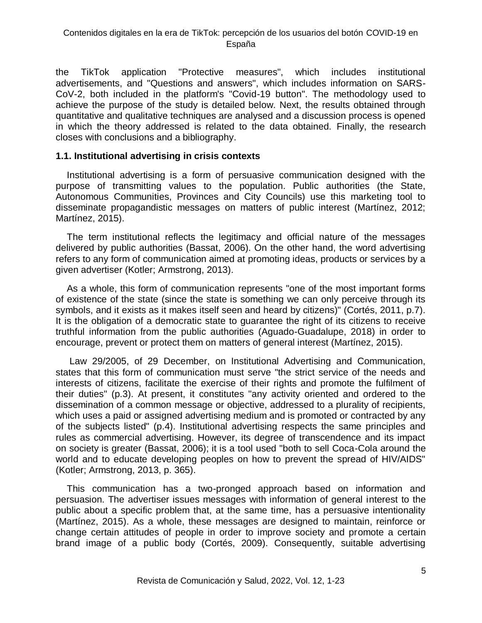the TikTok application "Protective measures", which includes institutional advertisements, and "Questions and answers", which includes information on SARS-CoV-2, both included in the platform's "Covid-19 button". The methodology used to achieve the purpose of the study is detailed below. Next, the results obtained through quantitative and qualitative techniques are analysed and a discussion process is opened in which the theory addressed is related to the data obtained. Finally, the research closes with conclusions and a bibliography.

### **1.1. Institutional advertising in crisis contexts**

Institutional advertising is a form of persuasive communication designed with the purpose of transmitting values to the population. Public authorities (the State, Autonomous Communities, Provinces and City Councils) use this marketing tool to disseminate propagandistic messages on matters of public interest (Martínez, 2012; Martínez, 2015).

The term institutional reflects the legitimacy and official nature of the messages delivered by public authorities (Bassat, 2006). On the other hand, the word advertising refers to any form of communication aimed at promoting ideas, products or services by a given advertiser (Kotler; Armstrong, 2013).

As a whole, this form of communication represents "one of the most important forms of existence of the state (since the state is something we can only perceive through its symbols, and it exists as it makes itself seen and heard by citizens)" (Cortés, 2011, p.7). It is the obligation of a democratic state to guarantee the right of its citizens to receive truthful information from the public authorities (Aguado-Guadalupe, 2018) in order to encourage, prevent or protect them on matters of general interest (Martínez, 2015).

Law 29/2005, of 29 December, on Institutional Advertising and Communication, states that this form of communication must serve "the strict service of the needs and interests of citizens, facilitate the exercise of their rights and promote the fulfilment of their duties" (p.3). At present, it constitutes "any activity oriented and ordered to the dissemination of a common message or objective, addressed to a plurality of recipients, which uses a paid or assigned advertising medium and is promoted or contracted by any of the subjects listed" (p.4). Institutional advertising respects the same principles and rules as commercial advertising. However, its degree of transcendence and its impact on society is greater (Bassat, 2006); it is a tool used "both to sell Coca-Cola around the world and to educate developing peoples on how to prevent the spread of HIV/AIDS" (Kotler; Armstrong, 2013, p. 365).

This communication has a two-pronged approach based on information and persuasion. The advertiser issues messages with information of general interest to the public about a specific problem that, at the same time, has a persuasive intentionality (Martínez, 2015). As a whole, these messages are designed to maintain, reinforce or change certain attitudes of people in order to improve society and promote a certain brand image of a public body (Cortés, 2009). Consequently, suitable advertising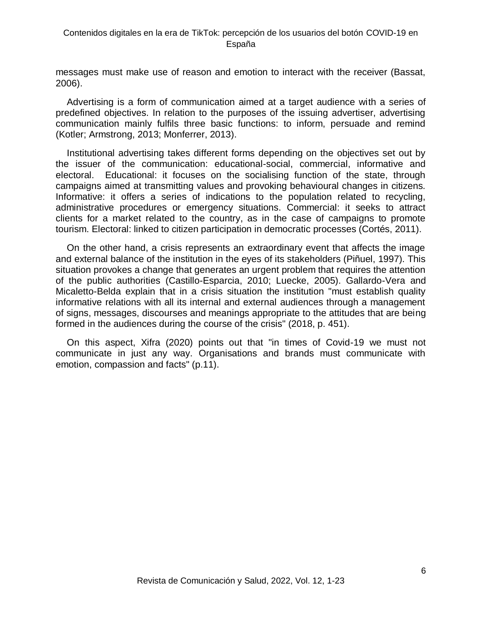messages must make use of reason and emotion to interact with the receiver (Bassat, 2006).

Advertising is a form of communication aimed at a target audience with a series of predefined objectives. In relation to the purposes of the issuing advertiser, advertising communication mainly fulfils three basic functions: to inform, persuade and remind (Kotler; Armstrong, 2013; Monferrer, 2013).

Institutional advertising takes different forms depending on the objectives set out by the issuer of the communication: educational-social, commercial, informative and electoral. Educational: it focuses on the socialising function of the state, through campaigns aimed at transmitting values and provoking behavioural changes in citizens. Informative: it offers a series of indications to the population related to recycling, administrative procedures or emergency situations. Commercial: it seeks to attract clients for a market related to the country, as in the case of campaigns to promote tourism. Electoral: linked to citizen participation in democratic processes (Cortés, 2011).

On the other hand, a crisis represents an extraordinary event that affects the image and external balance of the institution in the eyes of its stakeholders (Piñuel, 1997). This situation provokes a change that generates an urgent problem that requires the attention of the public authorities (Castillo-Esparcia, 2010; Luecke, 2005). Gallardo-Vera and Micaletto-Belda explain that in a crisis situation the institution "must establish quality informative relations with all its internal and external audiences through a management of signs, messages, discourses and meanings appropriate to the attitudes that are being formed in the audiences during the course of the crisis" (2018, p. 451).

On this aspect, Xifra (2020) points out that "in times of Covid-19 we must not communicate in just any way. Organisations and brands must communicate with emotion, compassion and facts" (p.11).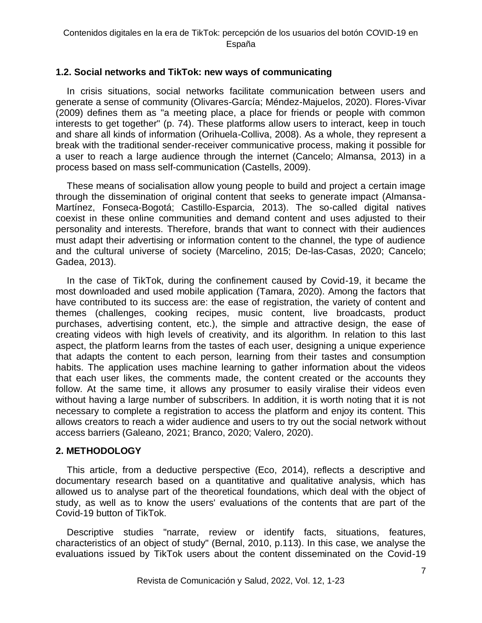## **1.2. Social networks and TikTok: new ways of communicating**

In crisis situations, social networks facilitate communication between users and generate a sense of community (Olivares-García; Méndez-Majuelos, 2020). Flores-Vivar (2009) defines them as "a meeting place, a place for friends or people with common interests to get together" (p. 74). These platforms allow users to interact, keep in touch and share all kinds of information (Orihuela-Colliva, 2008). As a whole, they represent a break with the traditional sender-receiver communicative process, making it possible for a user to reach a large audience through the internet (Cancelo; Almansa, 2013) in a process based on mass self-communication (Castells, 2009).

These means of socialisation allow young people to build and project a certain image through the dissemination of original content that seeks to generate impact (Almansa-Martínez, Fonseca-Bogotá; Castillo-Esparcia, 2013). The so-called digital natives coexist in these online communities and demand content and uses adjusted to their personality and interests. Therefore, brands that want to connect with their audiences must adapt their advertising or information content to the channel, the type of audience and the cultural universe of society (Marcelino, 2015; De-las-Casas, 2020; Cancelo; Gadea, 2013).

In the case of TikTok, during the confinement caused by Covid-19, it became the most downloaded and used mobile application (Tamara, 2020). Among the factors that have contributed to its success are: the ease of registration, the variety of content and themes (challenges, cooking recipes, music content, live broadcasts, product purchases, advertising content, etc.), the simple and attractive design, the ease of creating videos with high levels of creativity, and its algorithm. In relation to this last aspect, the platform learns from the tastes of each user, designing a unique experience that adapts the content to each person, learning from their tastes and consumption habits. The application uses machine learning to gather information about the videos that each user likes, the comments made, the content created or the accounts they follow. At the same time, it allows any prosumer to easily viralise their videos even without having a large number of subscribers. In addition, it is worth noting that it is not necessary to complete a registration to access the platform and enjoy its content. This allows creators to reach a wider audience and users to try out the social network without access barriers (Galeano, 2021; Branco, 2020; Valero, 2020).

## **2. METHODOLOGY**

This article, from a deductive perspective (Eco, 2014), reflects a descriptive and documentary research based on a quantitative and qualitative analysis, which has allowed us to analyse part of the theoretical foundations, which deal with the object of study, as well as to know the users' evaluations of the contents that are part of the Covid-19 button of TikTok.

Descriptive studies "narrate, review or identify facts, situations, features, characteristics of an object of study" (Bernal, 2010, p.113). In this case, we analyse the evaluations issued by TikTok users about the content disseminated on the Covid-19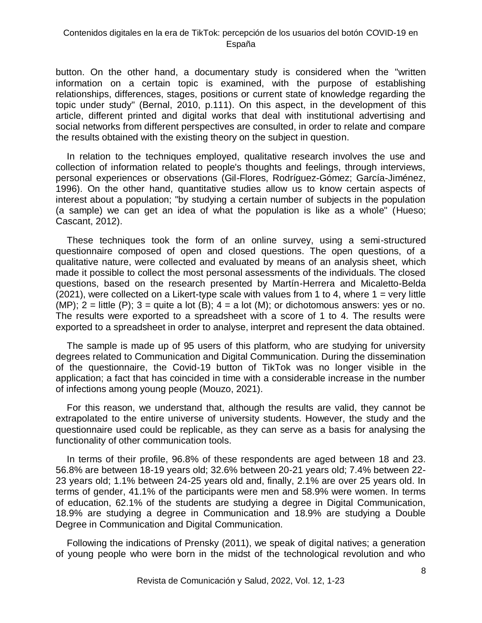button. On the other hand, a documentary study is considered when the "written information on a certain topic is examined, with the purpose of establishing relationships, differences, stages, positions or current state of knowledge regarding the topic under study" (Bernal, 2010, p.111). On this aspect, in the development of this article, different printed and digital works that deal with institutional advertising and social networks from different perspectives are consulted, in order to relate and compare the results obtained with the existing theory on the subject in question.

In relation to the techniques employed, qualitative research involves the use and collection of information related to people's thoughts and feelings, through interviews, personal experiences or observations (Gil-Flores, Rodríguez-Gómez; García-Jiménez, 1996). On the other hand, quantitative studies allow us to know certain aspects of interest about a population; "by studying a certain number of subjects in the population (a sample) we can get an idea of what the population is like as a whole" (Hueso; Cascant, 2012).

These techniques took the form of an online survey, using a semi-structured questionnaire composed of open and closed questions. The open questions, of a qualitative nature, were collected and evaluated by means of an analysis sheet, which made it possible to collect the most personal assessments of the individuals. The closed questions, based on the research presented by Martín-Herrera and Micaletto-Belda (2021), were collected on a Likert-type scale with values from 1 to 4, where  $1 = \text{very little}$ (MP);  $2 =$  little (P);  $3 =$  quite a lot (B);  $4 =$  a lot (M); or dichotomous answers: yes or no. The results were exported to a spreadsheet with a score of 1 to 4. The results were exported to a spreadsheet in order to analyse, interpret and represent the data obtained.

The sample is made up of 95 users of this platform, who are studying for university degrees related to Communication and Digital Communication. During the dissemination of the questionnaire, the Covid-19 button of TikTok was no longer visible in the application; a fact that has coincided in time with a considerable increase in the number of infections among young people (Mouzo, 2021).

For this reason, we understand that, although the results are valid, they cannot be extrapolated to the entire universe of university students. However, the study and the questionnaire used could be replicable, as they can serve as a basis for analysing the functionality of other communication tools.

In terms of their profile, 96.8% of these respondents are aged between 18 and 23. 56.8% are between 18-19 years old; 32.6% between 20-21 years old; 7.4% between 22- 23 years old; 1.1% between 24-25 years old and, finally, 2.1% are over 25 years old. In terms of gender, 41.1% of the participants were men and 58.9% were women. In terms of education, 62.1% of the students are studying a degree in Digital Communication, 18.9% are studying a degree in Communication and 18.9% are studying a Double Degree in Communication and Digital Communication.

Following the indications of Prensky (2011), we speak of digital natives; a generation of young people who were born in the midst of the technological revolution and who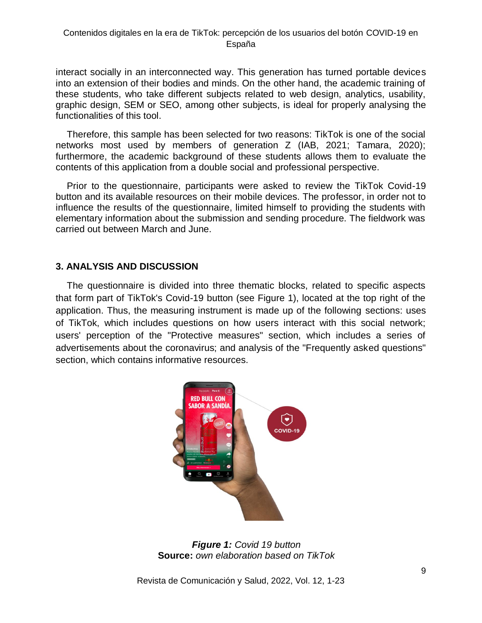interact socially in an interconnected way. This generation has turned portable devices into an extension of their bodies and minds. On the other hand, the academic training of these students, who take different subjects related to web design, analytics, usability, graphic design, SEM or SEO, among other subjects, is ideal for properly analysing the functionalities of this tool.

Therefore, this sample has been selected for two reasons: TikTok is one of the social networks most used by members of generation Z (IAB, 2021; Tamara, 2020); furthermore, the academic background of these students allows them to evaluate the contents of this application from a double social and professional perspective.

Prior to the questionnaire, participants were asked to review the TikTok Covid-19 button and its available resources on their mobile devices. The professor, in order not to influence the results of the questionnaire, limited himself to providing the students with elementary information about the submission and sending procedure. The fieldwork was carried out between March and June.

## **3. ANALYSIS AND DISCUSSION**

The questionnaire is divided into three thematic blocks, related to specific aspects that form part of TikTok's Covid-19 button (see Figure 1), located at the top right of the application. Thus, the measuring instrument is made up of the following sections: uses of TikTok, which includes questions on how users interact with this social network; users' perception of the "Protective measures" section, which includes a series of advertisements about the coronavirus; and analysis of the "Frequently asked questions" section, which contains informative resources.



*Figure 1: Covid 19 button* **Source:** *own elaboration based on TikTok*

Revista de Comunicación y Salud, 2022, Vol. 12, 1-23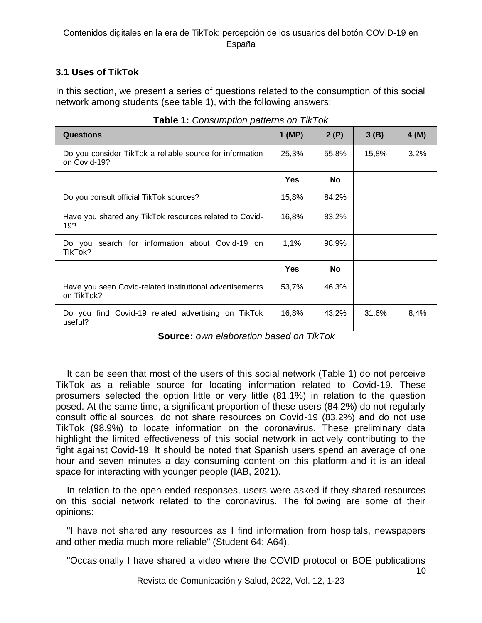# **3.1 Uses of TikTok**

In this section, we present a series of questions related to the consumption of this social network among students (see table 1), with the following answers:

| <b>Questions</b>                                                         | $1$ (MP) | 2(P)  | 3(B)  | 4(M) |
|--------------------------------------------------------------------------|----------|-------|-------|------|
| Do you consider TikTok a reliable source for information<br>on Covid-19? | 25,3%    | 55,8% | 15,8% | 3,2% |
|                                                                          | Yes      | No    |       |      |
| Do you consult official TikTok sources?                                  | 15,8%    | 84,2% |       |      |
| Have you shared any TikTok resources related to Covid-<br>19?            | 16,8%    | 83,2% |       |      |
| Do you search for information about Covid-19 on<br>TikTok?               | 1,1%     | 98,9% |       |      |
|                                                                          | Yes      | No    |       |      |
| Have you seen Covid-related institutional advertisements<br>on TikTok?   | 53,7%    | 46,3% |       |      |
| Do you find Covid-19 related advertising on TikTok<br>useful?            | 16,8%    | 43,2% | 31,6% | 8,4% |

**Table 1:** *Consumption patterns on TikTok*

**Source:** *own elaboration based on TikTok*

It can be seen that most of the users of this social network (Table 1) do not perceive TikTok as a reliable source for locating information related to Covid-19. These prosumers selected the option little or very little (81.1%) in relation to the question posed. At the same time, a significant proportion of these users (84.2%) do not regularly consult official sources, do not share resources on Covid-19 (83.2%) and do not use TikTok (98.9%) to locate information on the coronavirus. These preliminary data highlight the limited effectiveness of this social network in actively contributing to the fight against Covid-19. It should be noted that Spanish users spend an average of one hour and seven minutes a day consuming content on this platform and it is an ideal space for interacting with younger people (IAB, 2021).

In relation to the open-ended responses, users were asked if they shared resources on this social network related to the coronavirus. The following are some of their opinions:

"I have not shared any resources as I find information from hospitals, newspapers and other media much more reliable" (Student 64; A64).

"Occasionally I have shared a video where the COVID protocol or BOE publications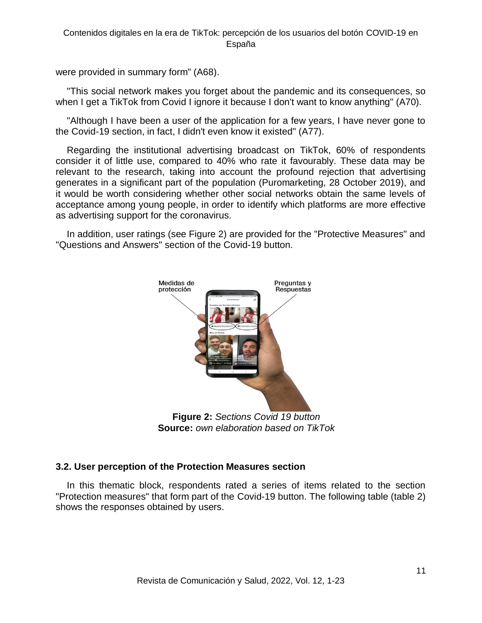were provided in summary form" (A68).

"This social network makes you forget about the pandemic and its consequences, so when I get a TikTok from Covid I ignore it because I don't want to know anything" (A70).

"Although I have been a user of the application for a few years, I have never gone to the Covid-19 section, in fact, I didn't even know it existed" (A77).

Regarding the institutional advertising broadcast on TikTok, 60% of respondents consider it of little use, compared to 40% who rate it favourably. These data may be relevant to the research, taking into account the profound rejection that advertising generates in a significant part of the population (Puromarketing, 28 October 2019), and it would be worth considering whether other social networks obtain the same levels of acceptance among young people, in order to identify which platforms are more effective as advertising support for the coronavirus.

In addition, user ratings (see Figure 2) are provided for the "Protective Measures" and "Questions and Answers" section of the Covid-19 button.



**Figure 2:** *Sections Covid 19 button* **Source:** *own elaboration based on TikTok*

# **3.2. User perception of the Protection Measures section**

In this thematic block, respondents rated a series of items related to the section "Protection measures" that form part of the Covid-19 button. The following table (table 2) shows the responses obtained by users.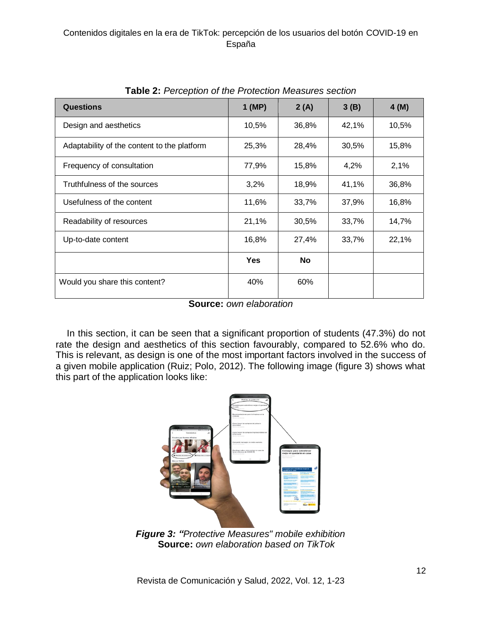| <b>Questions</b>                            | $1$ (MP)   | 2(A)  | 3(B)  | 4(M)  |
|---------------------------------------------|------------|-------|-------|-------|
| Design and aesthetics                       | 10,5%      | 36,8% | 42,1% | 10,5% |
| Adaptability of the content to the platform | 25,3%      | 28,4% | 30,5% | 15,8% |
| Frequency of consultation                   | 77,9%      | 15,8% | 4,2%  | 2,1%  |
| Truthfulness of the sources                 | 3,2%       | 18,9% | 41,1% | 36,8% |
| Usefulness of the content                   | 11,6%      | 33,7% | 37,9% | 16,8% |
| Readability of resources                    | 21,1%      | 30,5% | 33,7% | 14,7% |
| Up-to-date content                          | 16,8%      | 27,4% | 33,7% | 22,1% |
|                                             | <b>Yes</b> | No    |       |       |
| Would you share this content?               | 40%        | 60%   |       |       |

**Table 2:** *Perception of the Protection Measures section*

**Source:** *own elaboration* 

In this section, it can be seen that a significant proportion of students (47.3%) do not rate the design and aesthetics of this section favourably, compared to 52.6% who do. This is relevant, as design is one of the most important factors involved in the success of a given mobile application (Ruiz; Polo, 2012). The following image (figure 3) shows what this part of the application looks like:



*Figure 3: "Protective Measures" mobile exhibition* **Source:** *own elaboration based on TikTok*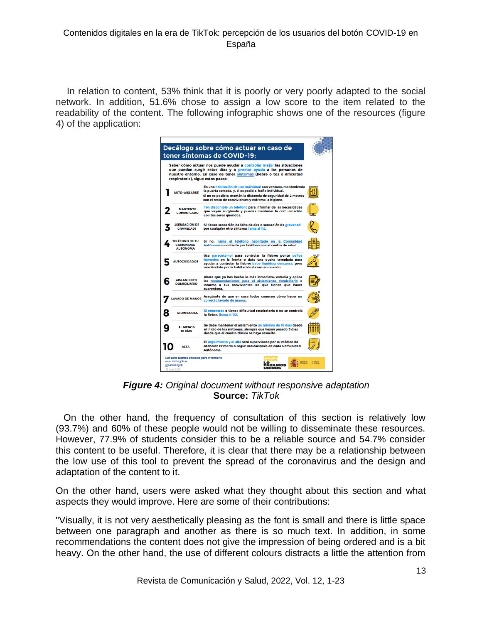In relation to content, 53% think that it is poorly or very poorly adapted to the social network. In addition, 51.6% chose to assign a low score to the item related to the readability of the content. The following infographic shows one of the resources (figure 4) of the application:



*Figure 4: Original document without responsive adaptation* **Source:** *TikTok* 

 On the other hand, the frequency of consultation of this section is relatively low (93.7%) and 60% of these people would not be willing to disseminate these resources. However, 77.9% of students consider this to be a reliable source and 54.7% consider this content to be useful. Therefore, it is clear that there may be a relationship between the low use of this tool to prevent the spread of the coronavirus and the design and adaptation of the content to it.

On the other hand, users were asked what they thought about this section and what aspects they would improve. Here are some of their contributions:

"Visually, it is not very aesthetically pleasing as the font is small and there is little space between one paragraph and another as there is so much text. In addition, in some recommendations the content does not give the impression of being ordered and is a bit heavy. On the other hand, the use of different colours distracts a little the attention from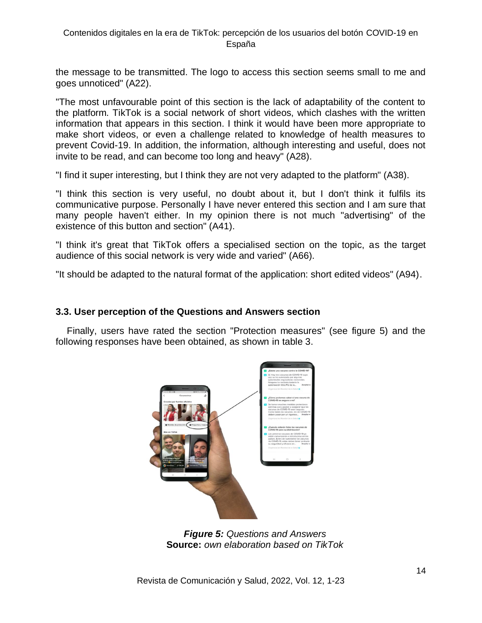the message to be transmitted. The logo to access this section seems small to me and goes unnoticed" (A22).

"The most unfavourable point of this section is the lack of adaptability of the content to the platform. TikTok is a social network of short videos, which clashes with the written information that appears in this section. I think it would have been more appropriate to make short videos, or even a challenge related to knowledge of health measures to prevent Covid-19. In addition, the information, although interesting and useful, does not invite to be read, and can become too long and heavy" (A28).

"I find it super interesting, but I think they are not very adapted to the platform" (A38).

"I think this section is very useful, no doubt about it, but I don't think it fulfils its communicative purpose. Personally I have never entered this section and I am sure that many people haven't either. In my opinion there is not much "advertising" of the existence of this button and section" (A41).

"I think it's great that TikTok offers a specialised section on the topic, as the target audience of this social network is very wide and varied" (A66).

"It should be adapted to the natural format of the application: short edited videos" (A94).

## **3.3. User perception of the Questions and Answers section**

Finally, users have rated the section "Protection measures" (see figure 5) and the following responses have been obtained, as shown in table 3.



*Figure 5: Questions and Answers* **Source:** *own elaboration based on TikTok*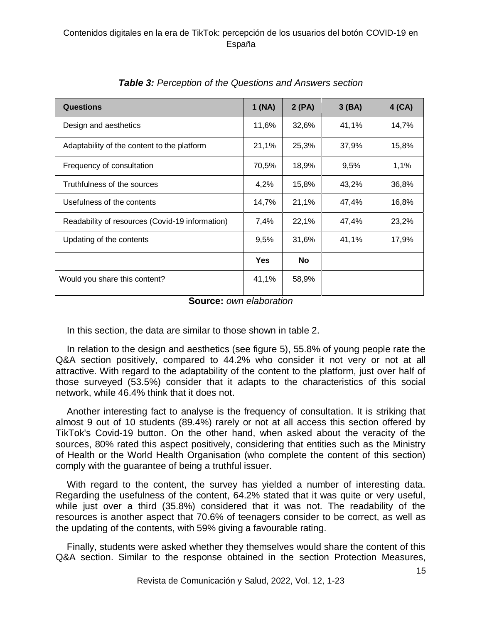| <b>Questions</b>                                | 1(NA)      | 2(PA)     | 3(BA) | $4$ (CA) |
|-------------------------------------------------|------------|-----------|-------|----------|
| Design and aesthetics                           | 11,6%      | 32,6%     | 41,1% | 14,7%    |
| Adaptability of the content to the platform     | 21,1%      | 25,3%     | 37,9% | 15,8%    |
| Frequency of consultation                       | 70,5%      | 18,9%     | 9,5%  | 1,1%     |
| Truthfulness of the sources                     | 4,2%       | 15,8%     | 43,2% | 36,8%    |
| Usefulness of the contents                      | 14,7%      | 21,1%     | 47,4% | 16,8%    |
| Readability of resources (Covid-19 information) | 7,4%       | 22,1%     | 47,4% | 23,2%    |
| Updating of the contents                        | 9,5%       | 31,6%     | 41,1% | 17,9%    |
|                                                 | <b>Yes</b> | <b>No</b> |       |          |
| Would you share this content?                   | 41,1%      | 58,9%     |       |          |

*Table 3: Perception of the Questions and Answers section*

**Source:** *own elaboration* 

In this section, the data are similar to those shown in table 2.

In relation to the design and aesthetics (see figure 5), 55.8% of young people rate the Q&A section positively, compared to 44.2% who consider it not very or not at all attractive. With regard to the adaptability of the content to the platform, just over half of those surveyed (53.5%) consider that it adapts to the characteristics of this social network, while 46.4% think that it does not.

Another interesting fact to analyse is the frequency of consultation. It is striking that almost 9 out of 10 students (89.4%) rarely or not at all access this section offered by TikTok's Covid-19 button. On the other hand, when asked about the veracity of the sources, 80% rated this aspect positively, considering that entities such as the Ministry of Health or the World Health Organisation (who complete the content of this section) comply with the guarantee of being a truthful issuer.

With regard to the content, the survey has yielded a number of interesting data. Regarding the usefulness of the content, 64.2% stated that it was quite or very useful, while just over a third (35.8%) considered that it was not. The readability of the resources is another aspect that 70.6% of teenagers consider to be correct, as well as the updating of the contents, with 59% giving a favourable rating.

Finally, students were asked whether they themselves would share the content of this Q&A section. Similar to the response obtained in the section Protection Measures,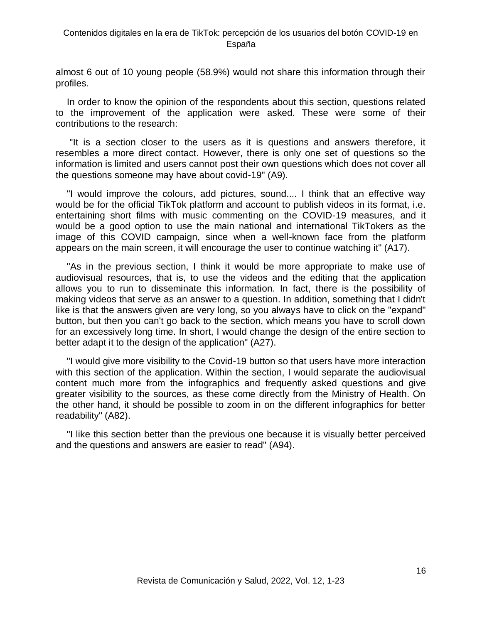almost 6 out of 10 young people (58.9%) would not share this information through their profiles.

In order to know the opinion of the respondents about this section, questions related to the improvement of the application were asked. These were some of their contributions to the research:

"It is a section closer to the users as it is questions and answers therefore, it resembles a more direct contact. However, there is only one set of questions so the information is limited and users cannot post their own questions which does not cover all the questions someone may have about covid-19" (A9).

"I would improve the colours, add pictures, sound.... I think that an effective way would be for the official TikTok platform and account to publish videos in its format, i.e. entertaining short films with music commenting on the COVID-19 measures, and it would be a good option to use the main national and international TikTokers as the image of this COVID campaign, since when a well-known face from the platform appears on the main screen, it will encourage the user to continue watching it" (A17).

"As in the previous section, I think it would be more appropriate to make use of audiovisual resources, that is, to use the videos and the editing that the application allows you to run to disseminate this information. In fact, there is the possibility of making videos that serve as an answer to a question. In addition, something that I didn't like is that the answers given are very long, so you always have to click on the "expand" button, but then you can't go back to the section, which means you have to scroll down for an excessively long time. In short, I would change the design of the entire section to better adapt it to the design of the application" (A27).

"I would give more visibility to the Covid-19 button so that users have more interaction with this section of the application. Within the section, I would separate the audiovisual content much more from the infographics and frequently asked questions and give greater visibility to the sources, as these come directly from the Ministry of Health. On the other hand, it should be possible to zoom in on the different infographics for better readability" (A82).

"I like this section better than the previous one because it is visually better perceived and the questions and answers are easier to read" (A94).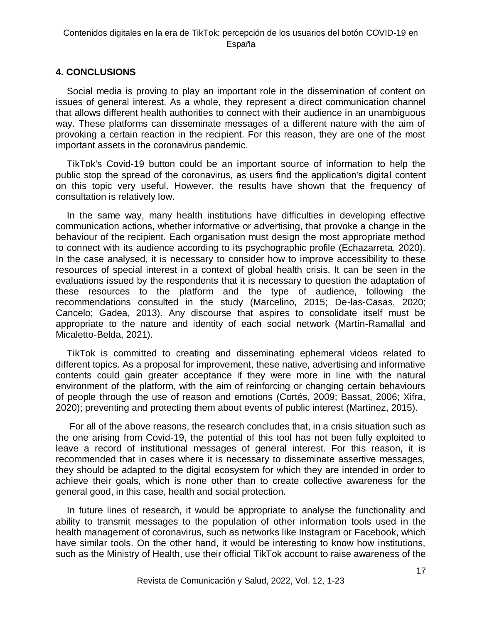## **4. CONCLUSIONS**

Social media is proving to play an important role in the dissemination of content on issues of general interest. As a whole, they represent a direct communication channel that allows different health authorities to connect with their audience in an unambiguous way. These platforms can disseminate messages of a different nature with the aim of provoking a certain reaction in the recipient. For this reason, they are one of the most important assets in the coronavirus pandemic.

TikTok's Covid-19 button could be an important source of information to help the public stop the spread of the coronavirus, as users find the application's digital content on this topic very useful. However, the results have shown that the frequency of consultation is relatively low.

In the same way, many health institutions have difficulties in developing effective communication actions, whether informative or advertising, that provoke a change in the behaviour of the recipient. Each organisation must design the most appropriate method to connect with its audience according to its psychographic profile (Echazarreta, 2020). In the case analysed, it is necessary to consider how to improve accessibility to these resources of special interest in a context of global health crisis. It can be seen in the evaluations issued by the respondents that it is necessary to question the adaptation of these resources to the platform and the type of audience, following the recommendations consulted in the study (Marcelino, 2015; De-las-Casas, 2020; Cancelo; Gadea, 2013). Any discourse that aspires to consolidate itself must be appropriate to the nature and identity of each social network (Martín-Ramallal and Micaletto-Belda, 2021).

TikTok is committed to creating and disseminating ephemeral videos related to different topics. As a proposal for improvement, these native, advertising and informative contents could gain greater acceptance if they were more in line with the natural environment of the platform, with the aim of reinforcing or changing certain behaviours of people through the use of reason and emotions (Cortés, 2009; Bassat, 2006; Xifra, 2020); preventing and protecting them about events of public interest (Martínez, 2015).

For all of the above reasons, the research concludes that, in a crisis situation such as the one arising from Covid-19, the potential of this tool has not been fully exploited to leave a record of institutional messages of general interest. For this reason, it is recommended that in cases where it is necessary to disseminate assertive messages, they should be adapted to the digital ecosystem for which they are intended in order to achieve their goals, which is none other than to create collective awareness for the general good, in this case, health and social protection.

In future lines of research, it would be appropriate to analyse the functionality and ability to transmit messages to the population of other information tools used in the health management of coronavirus, such as networks like Instagram or Facebook, which have similar tools. On the other hand, it would be interesting to know how institutions, such as the Ministry of Health, use their official TikTok account to raise awareness of the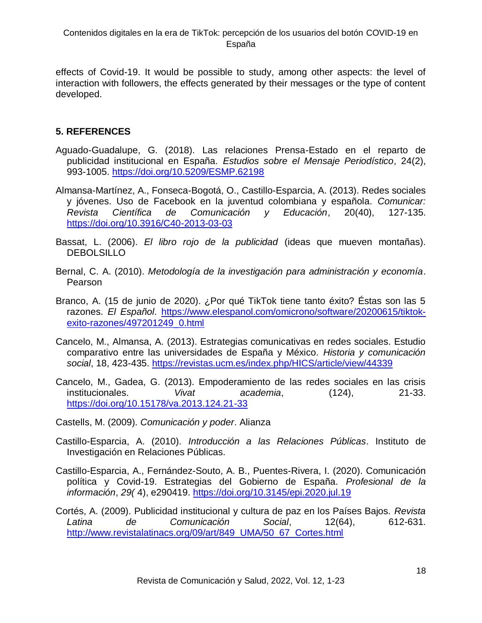effects of Covid-19. It would be possible to study, among other aspects: the level of interaction with followers, the effects generated by their messages or the type of content developed.

# **5. REFERENCES**

- Aguado-Guadalupe, G. (2018). Las relaciones Prensa-Estado en el reparto de publicidad institucional en España. *Estudios sobre el Mensaje Periodístico*, 24(2), 993-1005.<https://doi.org/10.5209/ESMP.62198>
- Almansa-Martínez, A., Fonseca-Bogotá, O., Castillo-Esparcia, A. (2013). Redes sociales y jóvenes. Uso de Facebook en la juventud colombiana y española. *Comunicar: Revista Científica de Comunicación y Educación*, 20(40), 127-135. <https://doi.org/10.3916/C40-2013-03-03>
- Bassat, L. (2006). *El libro rojo de la publicidad* (ideas que mueven montañas). **DEBOLSILLO**
- Bernal, C. A. (2010). *Metodología de la investigación para administración y economía*. Pearson
- Branco, A. (15 de junio de 2020). ¿Por qué TikTok tiene tanto éxito? Éstas son las 5 razones. *El Español*. [https://www.elespanol.com/omicrono/software/20200615/tiktok](https://www.elespanol.com/omicrono/software/20200615/tiktok-exito-razones/497201249_0.html)[exito-razones/497201249\\_0.html](https://www.elespanol.com/omicrono/software/20200615/tiktok-exito-razones/497201249_0.html)
- Cancelo, M., Almansa, A. (2013). Estrategias comunicativas en redes sociales. Estudio comparativo entre las universidades de España y México. *Historia y comunicación social*, 18, 423-435.<https://revistas.ucm.es/index.php/HICS/article/view/44339>
- Cancelo, M., Gadea, G. (2013). Empoderamiento de las redes sociales en las crisis institucionales. *Vivat academia*, (124), 21-33. <https://doi.org/10.15178/va.2013.124.21-33>
- Castells, M. (2009). *Comunicación y poder*. Alianza
- Castillo-Esparcia, A. (2010). *Introducción a las Relaciones Públicas*. Instituto de Investigación en Relaciones Públicas.
- Castillo-Esparcia, A., Fernández-Souto, A. B., Puentes-Rivera, I. (2020). Comunicación política y Covid-19. Estrategias del Gobierno de España. *Profesional de la información*, *29(* 4), e290419.<https://doi.org/10.3145/epi.2020.jul.19>
- Cortés, A. (2009). Publicidad institucional y cultura de paz en los Países Bajos. *Revista Latina de Comunicación Social*, 12(64), 612-631. [http://www.revistalatinacs.org/09/art/849\\_UMA/50\\_67\\_Cortes.html](http://www.revistalatinacs.org/09/art/849_UMA/50_67_Cortes.html)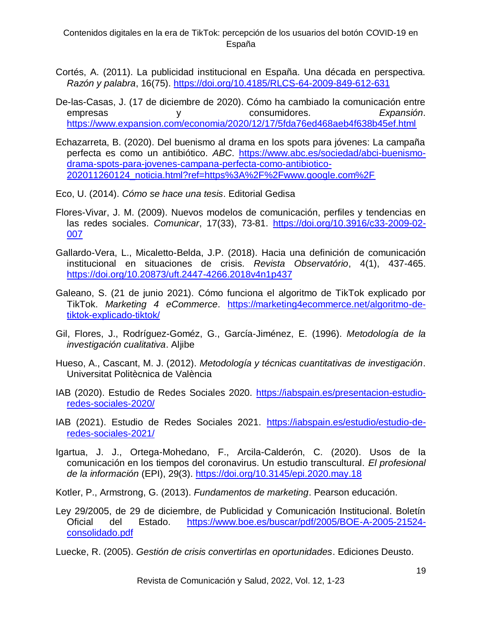- Cortés, A. (2011). La publicidad institucional en España. Una década en perspectiva. *Razón y palabra*, 16(75).<https://doi.org/10.4185/RLCS-64-2009-849-612-631>
- De-las-Casas, J. (17 de diciembre de 2020). Cómo ha cambiado la comunicación entre empresas y consumidores. *Expansión*. <https://www.expansion.com/economia/2020/12/17/5fda76ed468aeb4f638b45ef.html>
- Echazarreta, B. (2020). Del buenismo al drama en los spots para jóvenes: La campaña perfecta es como un antibiótico. *ABC*. [https://www.abc.es/sociedad/abci-buenismo](https://www.abc.es/sociedad/abci-buenismo-drama-spots-para-jovenes-campana-perfecta-como-antibiotico-202011260124_noticia.html?ref=https%3A%2F%2Fwww.google.com%2F)[drama-spots-para-jovenes-campana-perfecta-como-antibiotico-](https://www.abc.es/sociedad/abci-buenismo-drama-spots-para-jovenes-campana-perfecta-como-antibiotico-202011260124_noticia.html?ref=https%3A%2F%2Fwww.google.com%2F)[202011260124\\_noticia.html?ref=https%3A%2F%2Fwww.google.com%2F](https://www.abc.es/sociedad/abci-buenismo-drama-spots-para-jovenes-campana-perfecta-como-antibiotico-202011260124_noticia.html?ref=https%3A%2F%2Fwww.google.com%2F)

Eco, U. (2014). *Cómo se hace una tesis*. Editorial Gedisa

- Flores-Vivar, J. M. (2009). Nuevos modelos de comunicación, perfiles y tendencias en las redes sociales. *Comunicar*, 17(33), 73-81. [https://doi.org/10.3916/c33-2009-02-](https://doi.org/10.3916/c33-2009-02-007) [007](https://doi.org/10.3916/c33-2009-02-007)
- Gallardo-Vera, L., Micaletto-Belda, J.P. (2018). Hacia una definición de comunicación institucional en situaciones de crisis*. Revista Observatório*, 4(1), 437-465. <https://doi.org/10.20873/uft.2447-4266.2018v4n1p437>
- Galeano, S. (21 de junio 2021). Cómo funciona el algoritmo de TikTok explicado por TikTok. *Marketing 4 eCommerce*. [https://marketing4ecommerce.net/algoritmo-de](https://marketing4ecommerce.net/algoritmo-de-tiktok-explicado-tiktok/)[tiktok-explicado-tiktok/](https://marketing4ecommerce.net/algoritmo-de-tiktok-explicado-tiktok/)
- Gil, Flores, J., Rodríguez-Goméz, G., García-Jiménez, E. (1996). *Metodología de la investigación cualitativa*. Aljibe
- Hueso, A., Cascant, M. J. (2012). *Metodología y técnicas cuantitativas de investigación*. Universitat Politècnica de València
- IAB (2020). Estudio de Redes Sociales 2020. [https://iabspain.es/presentacion-estudio](https://iabspain.es/presentacion-estudio-redes-sociales-2020/)[redes-sociales-2020/](https://iabspain.es/presentacion-estudio-redes-sociales-2020/)
- IAB (2021). Estudio de Redes Sociales 2021. [https://iabspain.es/estudio/estudio-de](https://iabspain.es/estudio/estudio-de-redes-sociales-2021/)[redes-sociales-2021/](https://iabspain.es/estudio/estudio-de-redes-sociales-2021/)
- Igartua, J. J., Ortega-Mohedano, F., Arcila-Calderón, C. (2020). Usos de la comunicación en los tiempos del coronavirus. Un estudio transcultural. *El profesional de la información* (EPI), 29(3).<https://doi.org/10.3145/epi.2020.may.18>

Kotler, P., Armstrong, G. (2013). *Fundamentos de marketing*. Pearson educación.

- Ley 29/2005, de 29 de diciembre, de Publicidad y Comunicación Institucional. Boletín Oficial del Estado. [https://www.boe.es/buscar/pdf/2005/BOE-A-2005-21524](https://www.boe.es/buscar/pdf/2005/BOE-A-2005-21524-consolidado.pdf) [consolidado.pdf](https://www.boe.es/buscar/pdf/2005/BOE-A-2005-21524-consolidado.pdf)
- Luecke, R. (2005). *Gestión de crisis convertirlas en oportunidades*. Ediciones Deusto.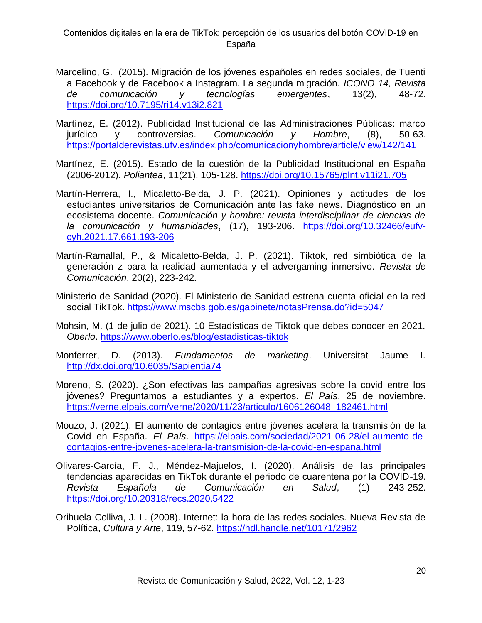- Marcelino, G. (2015). Migración de los jóvenes españoles en redes sociales, de Tuenti a Facebook y de Facebook a Instagram. La segunda migración. *ICONO 14, Revista de comunicación y tecnologías emergentes*, 13(2), 48-72. <https://doi.org/10.7195/ri14.v13i2.821>
- Martínez, E. (2012). Publicidad Institucional de las Administraciones Públicas: marco jurídico y controversias. *Comunicación y Hombre*, (8), 50-63. <https://portalderevistas.ufv.es/index.php/comunicacionyhombre/article/view/142/141>
- Martínez, E. (2015). Estado de la cuestión de la Publicidad Institucional en España (2006-2012). *Poliantea*, 11(21), 105-128.<https://doi.org/10.15765/plnt.v11i21.705>
- Martín-Herrera, I., Micaletto-Belda, J. P. (2021). Opiniones y actitudes de los estudiantes universitarios de Comunicación ante las fake news. Diagnóstico en un ecosistema docente. *Comunicación y hombre: revista interdisciplinar de ciencias de la comunicación y humanidades*, (17), 193-206. [https://doi.org/10.32466/eufv](https://doi.org/10.32466/eufv-cyh.2021.17.661.193-206)[cyh.2021.17.661.193-206](https://doi.org/10.32466/eufv-cyh.2021.17.661.193-206)
- Martín-Ramallal, P., & Micaletto-Belda, J. P. (2021). Tiktok, red simbiótica de la generación z para la realidad aumentada y el advergaming inmersivo. *Revista de Comunicación*, 20(2), 223-242.
- Ministerio de Sanidad (2020). El Ministerio de Sanidad estrena cuenta oficial en la red social TikTok.<https://www.mscbs.gob.es/gabinete/notasPrensa.do?id=5047>
- Mohsin, M. (1 de julio de 2021). 10 Estadísticas de Tiktok que debes conocer en 2021. *Oberlo*.<https://www.oberlo.es/blog/estadisticas-tiktok>
- Monferrer, D. (2013). *Fundamentos de marketing*. Universitat Jaume I. <http://dx.doi.org/10.6035/Sapientia74>
- Moreno, S. (2020). ¿Son efectivas las campañas agresivas sobre la covid entre los jóvenes? Preguntamos a estudiantes y a expertos. *El País*, 25 de noviembre. [https://verne.elpais.com/verne/2020/11/23/articulo/1606126048\\_182461.html](https://verne.elpais.com/verne/2020/11/23/articulo/1606126048_182461.html)
- Mouzo, J. (2021). El aumento de contagios entre jóvenes acelera la transmisión de la Covid en España. *El País*. [https://elpais.com/sociedad/2021-06-28/el-aumento-de](https://elpais.com/sociedad/2021-06-28/el-aumento-de-contagios-entre-jovenes-acelera-la-transmision-de-la-covid-en-espana.html)[contagios-entre-jovenes-acelera-la-transmision-de-la-covid-en-espana.html](https://elpais.com/sociedad/2021-06-28/el-aumento-de-contagios-entre-jovenes-acelera-la-transmision-de-la-covid-en-espana.html)
- Olivares-García, F. J., Méndez-Majuelos, I. (2020). Análisis de las principales tendencias aparecidas en TikTok durante el periodo de cuarentena por la COVID-19. *Revista Española de Comunicación en Salud*, (1) 243-252. <https://doi.org/10.20318/recs.2020.5422>
- Orihuela-Colliva, J. L. (2008). Internet: la hora de las redes sociales. Nueva Revista de Política, *Cultura y Arte*, 119, 57-62.<https://hdl.handle.net/10171/2962>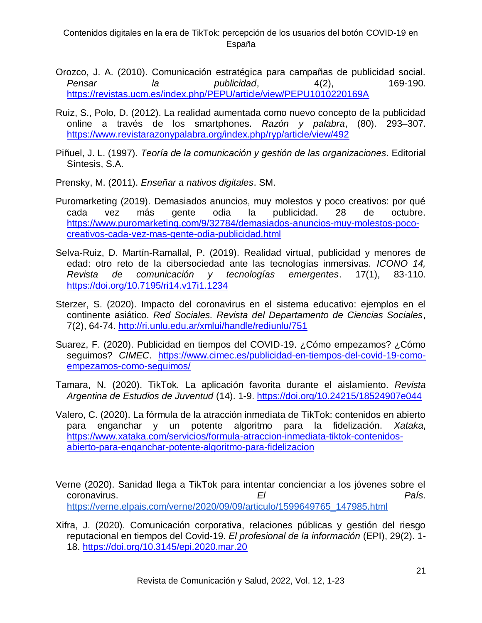- Orozco, J. A. (2010). Comunicación estratégica para campañas de publicidad social. *Pensar la publicidad*, 4(2), 169-190. <https://revistas.ucm.es/index.php/PEPU/article/view/PEPU1010220169A>
- Ruiz, S., Polo, D. (2012). La realidad aumentada como nuevo concepto de la publicidad online a través de los smartphones. *Razón y palabra*, (80). 293–307. <https://www.revistarazonypalabra.org/index.php/ryp/article/view/492>
- Piñuel, J. L. (1997). *Teoría de la comunicación y gestión de las organizaciones*. Editorial Síntesis, S.A.
- Prensky, M. (2011). *Enseñar a nativos digitales*. SM.
- Puromarketing (2019). Demasiados anuncios, muy molestos y poco creativos: por qué cada vez más gente odia la publicidad. 28 de octubre. [https://www.puromarketing.com/9/32784/demasiados-anuncios-muy-molestos-poco](https://www.puromarketing.com/9/32784/demasiados-anuncios-muy-molestos-poco-creativos-cada-vez-mas-gente-odia-publicidad.html)[creativos-cada-vez-mas-gente-odia-publicidad.html](https://www.puromarketing.com/9/32784/demasiados-anuncios-muy-molestos-poco-creativos-cada-vez-mas-gente-odia-publicidad.html)
- Selva-Ruiz, D. Martín-Ramallal, P. (2019). Realidad virtual, publicidad y menores de edad: otro reto de la cibersociedad ante las tecnologías inmersivas. *ICONO 14, Revista de comunicación y tecnologías emergentes*. 17(1), 83-110. <https://doi.org/10.7195/ri14.v17i1.1234>
- Sterzer, S. (2020). Impacto del coronavirus en el sistema educativo: ejemplos en el continente asiático. *Red Sociales. Revista del Departamento de Ciencias Sociales*, 7(2), 64-74.<http://ri.unlu.edu.ar/xmlui/handle/rediunlu/751>
- Suarez, F. (2020). Publicidad en tiempos del COVID-19. ¿Cómo empezamos? ¿Cómo seguimos? *CIMEC*. [https://www.cimec.es/publicidad-en-tiempos-del-covid-19-como](https://www.cimec.es/publicidad-en-tiempos-del-covid-19-como-empezamos-como-seguimos/)[empezamos-como-seguimos/](https://www.cimec.es/publicidad-en-tiempos-del-covid-19-como-empezamos-como-seguimos/)
- Tamara, N. (2020). TikTok. La aplicación favorita durante el aislamiento. *Revista Argentina de Estudios de Juventud* (14). 1-9.<https://doi.org/10.24215/18524907e044>
- Valero, C. (2020). La fórmula de la atracción inmediata de TikTok: contenidos en abierto para enganchar y un potente algoritmo para la fidelización. *Xataka*, [https://www.xataka.com/servicios/formula-atraccion-inmediata-tiktok-contenidos](https://www.xataka.com/servicios/formula-atraccion-inmediata-tiktok-contenidos-abierto-para-enganchar-potente-algoritmo-para-fidelizacion)[abierto-para-enganchar-potente-algoritmo-para-fidelizacion](https://www.xataka.com/servicios/formula-atraccion-inmediata-tiktok-contenidos-abierto-para-enganchar-potente-algoritmo-para-fidelizacion)
- Verne (2020). Sanidad llega a TikTok para intentar concienciar a los jóvenes sobre el coronavirus. *El País*. [https://verne.elpais.com/verne/2020/09/09/articulo/1599649765\\_147985.html](https://verne.elpais.com/verne/2020/09/09/articulo/1599649765_147985.html)
- Xifra, J. (2020). Comunicación corporativa, relaciones públicas y gestión del riesgo reputacional en tiempos del Covid-19. *El profesional de la información* (EPI), 29(2). 1- 18.<https://doi.org/10.3145/epi.2020.mar.20>